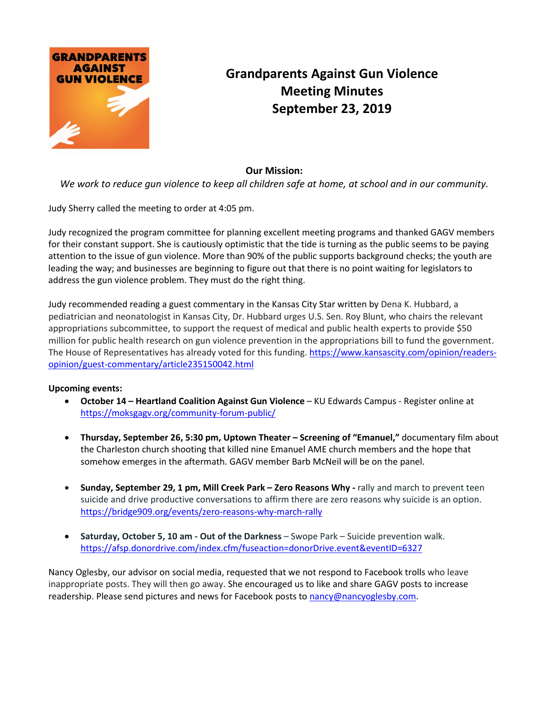

## **Grandparents Against Gun Violence Meeting Minutes September 23, 2019**

## **Our Mission:**

*We work to reduce gun violence to keep all children safe at home, at school and in our community.*

Judy Sherry called the meeting to order at 4:05 pm.

Judy recognized the program committee for planning excellent meeting programs and thanked GAGV members for their constant support. She is cautiously optimistic that the tide is turning as the public seems to be paying attention to the issue of gun violence. More than 90% of the public supports background checks; the youth are leading the way; and businesses are beginning to figure out that there is no point waiting for legislators to address the gun violence problem. They must do the right thing.

Judy recommended reading a guest commentary in the Kansas City Star written by Dena K. Hubbard, a pediatrician and neonatologist in Kansas City, Dr. Hubbard urges U.S. Sen. Roy Blunt, who chairs the relevant appropriations subcommittee, to support the request of medical and public health experts to provide \$50 million for public health research on gun violence prevention in the appropriations bill to fund the government. The House of Representatives has already voted for this funding. [https://www.kansascity.com/opinion/readers](https://www.kansascity.com/opinion/readers-opinion/guest-commentary/article235150042.html)[opinion/guest-commentary/article235150042.html](https://www.kansascity.com/opinion/readers-opinion/guest-commentary/article235150042.html)

## **Upcoming events:**

- **October 14 – Heartland Coalition Against Gun Violence** KU Edwards Campus Register online at <https://moksgagv.org/community-forum-public/>
- **Thursday, September 26, 5:30 pm, Uptown Theater – Screening of "Emanuel,"** documentary film about the [Charleston church shooting](https://en.wikipedia.org/wiki/Charleston_church_shooting) that killed nine Emanuel AME church members and the hope that somehow emerges in the aftermath. GAGV member Barb McNeil will be on the panel.
- **Sunday, September 29, 1 pm, Mill Creek Park – Zero Reasons Why -** rally and march to prevent teen suicide and drive productive conversations to affirm there are zero reasons why suicide is an option. <https://bridge909.org/events/zero-reasons-why-march-rally>
- **Saturday, October 5, 10 am - Out of the Darkness** Swope Park Suicide prevention walk. <https://afsp.donordrive.com/index.cfm/fuseaction=donorDrive.event&eventID=6327>

Nancy Oglesby, our advisor on social media, requested that we not respond to Facebook trolls who leave inappropriate posts. They will then go away. She encouraged us to like and share GAGV posts to increase readership. Please send pictures and news for Facebook posts to [nancy@nancyoglesby.com.](mailto:nancy@nancyoglesby.com)